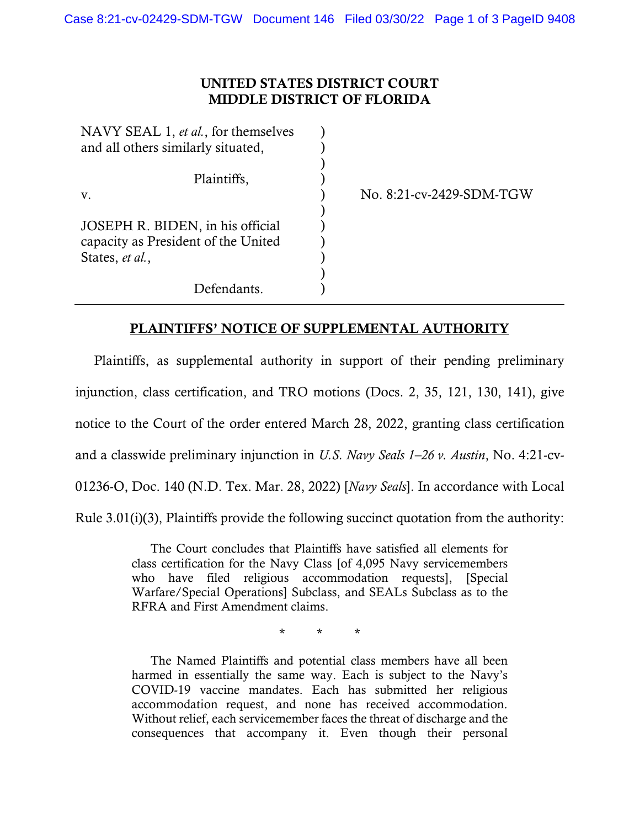## UNITED STATES DISTRICT COURT MIDDLE DISTRICT OF FLORIDA

| NAVY SEAL 1, et al., for themselves |                          |
|-------------------------------------|--------------------------|
| and all others similarly situated,  |                          |
|                                     |                          |
| Plaintiffs,                         |                          |
| V.                                  | No. 8:21-cv-2429-SDM-TGW |
|                                     |                          |
| JOSEPH R. BIDEN, in his official    |                          |
| capacity as President of the United |                          |
| States, et al.,                     |                          |
|                                     |                          |
| Defendants.                         |                          |

## PLAINTIFFS' NOTICE OF SUPPLEMENTAL AUTHORITY

Plaintiffs, as supplemental authority in support of their pending preliminary injunction, class certification, and TRO motions (Docs. 2, 35, 121, 130, 141), give notice to the Court of the order entered March 28, 2022, granting class certification and a classwide preliminary injunction in *U.S. Navy Seals 1–26 v. Austin*, No. 4:21-cv-01236-O, Doc. 140 (N.D. Tex. Mar. 28, 2022) [*Navy Seals*]. In accordance with Local Rule 3.01(i)(3), Plaintiffs provide the following succinct quotation from the authority:

> The Court concludes that Plaintiffs have satisfied all elements for class certification for the Navy Class [of 4,095 Navy servicemembers who have filed religious accommodation requests], [Special Warfare/Special Operations] Subclass, and SEALs Subclass as to the RFRA and First Amendment claims.

> > \* \* \*

The Named Plaintiffs and potential class members have all been harmed in essentially the same way. Each is subject to the Navy's COVID-19 vaccine mandates. Each has submitted her religious accommodation request, and none has received accommodation. Without relief, each servicemember faces the threat of discharge and the consequences that accompany it. Even though their personal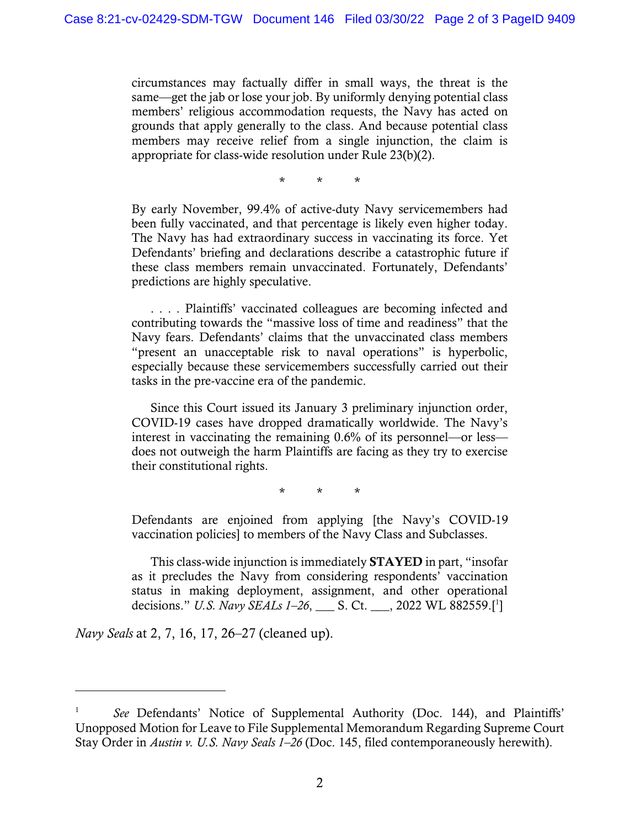circumstances may factually differ in small ways, the threat is the same—get the jab or lose your job. By uniformly denying potential class members' religious accommodation requests, the Navy has acted on grounds that apply generally to the class. And because potential class members may receive relief from a single injunction, the claim is appropriate for class-wide resolution under Rule 23(b)(2).

\* \* \*

By early November, 99.4% of active-duty Navy servicemembers had been fully vaccinated, and that percentage is likely even higher today. The Navy has had extraordinary success in vaccinating its force. Yet Defendants' briefing and declarations describe a catastrophic future if these class members remain unvaccinated. Fortunately, Defendants' predictions are highly speculative.

. . . . Plaintiffs' vaccinated colleagues are becoming infected and contributing towards the "massive loss of time and readiness" that the Navy fears. Defendants' claims that the unvaccinated class members "present an unacceptable risk to naval operations" is hyperbolic, especially because these servicemembers successfully carried out their tasks in the pre-vaccine era of the pandemic.

Since this Court issued its January 3 preliminary injunction order, COVID-19 cases have dropped dramatically worldwide. The Navy's interest in vaccinating the remaining 0.6% of its personnel—or less does not outweigh the harm Plaintiffs are facing as they try to exercise their constitutional rights.

\* \* \*

Defendants are enjoined from applying [the Navy's COVID-19 vaccination policies] to members of the Navy Class and Subclasses.

This class-wide injunction is immediately STAYED in part, "insofar as it precludes the Navy from considering respondents' vaccination status in making deployment, assignment, and other operational decisions." *U.S. Navy SEALs 1–26*, \_\_\_ S. Ct. \_\_\_, 2022 WL 882559.[ 1 ]

*Navy Seals* at 2, 7, 16, 17, 26–27 (cleaned up).

<sup>1</sup> *See* Defendants' Notice of Supplemental Authority (Doc. 144), and Plaintiffs' Unopposed Motion for Leave to File Supplemental Memorandum Regarding Supreme Court Stay Order in *Austin v. U.S. Navy Seals 1–26* (Doc. 145, filed contemporaneously herewith).